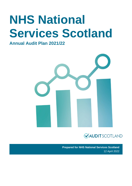# **NHS National Services Scotland**

**Annual Audit Plan 2021/22**





**Prepared for NHS National Services Scotland** 12 April 2022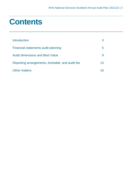### **Contents**

| Introduction                                     |    |
|--------------------------------------------------|----|
| Financial statements audit planning              | h  |
| <b>Audit dimensions and Best Value</b>           |    |
| Reporting arrangements, timetable, and audit fee | 13 |
| <b>Other matters</b>                             |    |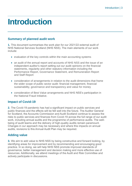### <span id="page-2-0"></span>**Introduction**

#### **Summary of planned audit work**

**1.** This document summarises the work plan for our 2021/22 external audit of NHS National Services Scotland (NHS NSS). The main elements of our work include:

- evaluation of the key controls within the main accounting systems
- an audit of the annual report and accounts of NHS NSS and the issue of an independent auditor's report setting out our audit opinions on the financial statements, regularity and other statutory information including the Performance Report, Governance Statement, and Remuneration Report and Staff Report
- consideration of arrangements in relation to the audit dimensions that frame the wider scope of public sector audit: financial management, financial sustainability, governance and transparency and value for money
- consideration of Best Value arrangements and NHS NSS's participation in the National Fraud Initiative.

#### **Impact of Covid-19**

**2.** The Covid-19 pandemic has had a significant impact on public services and public finances and the effects will be felt well into the future. The Auditor General for Scotland, the Accounts Commission and Audit Scotland continue to assess the risks to public services and finances from Covid-19 across the full range of our audit work, including annual audits and the programme of performance audits. The wellbeing of audit teams and the delivery of high-quality audits remain paramount. Changes in our approach may be necessary and where this impacts on annual audits, revisions to this Annual Audit Plan may be required.

#### **Adding value**

**3.** We aim to add value to NHS NSS by being constructive and forward looking, by identifying areas for improvement and by recommending and encouraging good practice. In so doing, we will help NHS NSS promote improved standards of governance, better management and decision making and more effective use of resources. Additionally, we attend meetings of the Audit and Risk Committee and actively participate in discussions.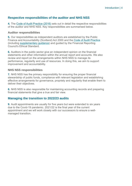#### **Respective responsibilities of the auditor and NHS NSS**

**4.** The [Code of Audit Practice \(2016\)](https://www.audit-scotland.gov.uk/uploads/docs/report/2016/code_audit_practice_16_0.pdf) sets out in detail the respective responsibilities of the auditor and NHS NSS. Key responsibilities are summarised below.

#### **Auditor responsibilities**

**5.** Our responsibilities as independent auditors are established by the Public Finance and Accountability (Scotland) Act 2000 and the [Code of Audit Practice](https://www.audit-scotland.gov.uk/uploads/docs/report/2016/code_audit_practice_16_0.pdf) (including [supplementary guidance\)](https://www.audit-scotland.gov.uk/uploads/docs/um/code_audit_guidance_16_supp.pdf) and guided by the Financial Reporting Council's Ethical Standard.

**6.** Auditors in the public sector give an independent opinion on the financial statements and other information within the annual report and accounts. We also review and report on the arrangements within NHS NSS to manage its performance, regularity and use of resources. In doing this, we aim to support improvement and accountability.

#### **NHS NSS responsibilities**

**7.** NHS NSS has the primary responsibility for ensuring the proper financial stewardship of public funds, compliance with relevant legislation and establishing effective arrangements for governance, propriety and regularity that enable them to deliver their objectives.

**8.** NHS NSS is also responsible for maintaining accounting records and preparing financial statements that give a true and fair view.

#### **Managing the transition to 2022/23 audits**

**9.** Audit appointments are usually for five years but were extended to six years due to the Covid-19 pandemic. 2021/22 is the final year of the current appointment and we will work closely with our successors to ensure a wellmanaged transition.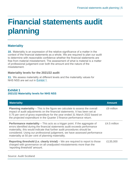## <span id="page-4-0"></span>**Financial statements audit planning**

#### **Materiality**

**10.** Materiality is an expression of the relative significance of a matter in the context of the financial statements as a whole. We are required to plan our audit to determine with reasonable confidence whether the financial statements are free from material misstatement. The assessment of what is material is a matter of professional judgement over both the amount and the nature of the misstatement.

#### **Materiality levels for the 2021/22 audit**

**11.** We assess materiality at different levels and the materiality values for NHS NSS are set out in [Exhibit 1.](#page-4-1)

#### <span id="page-4-1"></span>**Exhibit 1 2021/22 Materiality levels for NHS NSS**

| <b>Planning materiality</b> – This is the figure we calculate to assess the overall<br>impact of audit adjustments on the financial statements. It has been set at<br>0.75 per cent of gross expenditure for the year ended 31 March 2022 based on                                                                                                                                   | £9 million   |
|--------------------------------------------------------------------------------------------------------------------------------------------------------------------------------------------------------------------------------------------------------------------------------------------------------------------------------------------------------------------------------------|--------------|
| the projected expenditure in the Quarter 3 finance performance return.                                                                                                                                                                                                                                                                                                               |              |
| <b>Performance materiality</b> $-$ This acts as a trigger point. If the aggregate of<br>errors identified during the financial statements audit exceeds performance<br>materiality, this would indicate that further audit procedures should be<br>considered. Using our professional judgement, we have assessed performance<br>materiality at 50 per cent of planning materiality. | £4.5 million |
| <b>Reporting threshold (i.e. clearly trivial)</b> – We are required to report to those<br>charged with governance on all unadjusted misstatements more than the<br>'reporting threshold' amount.                                                                                                                                                                                     | £135,000     |

Source: Audit Scotland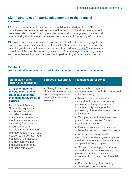#### **Significant risks of material misstatement to the financial statements**

**12.** Our risk assessment draws on our cumulative knowledge of NHS NSS, its major transaction streams, key systems of internal control and risk management processes. Also, it is informed by our discussions with management, meetings with internal audit, attendance at committees and a review of supporting information.

**13.** Based on our risk assessment process, we identified the following significant risks of material misstatement to the financial statements. These are risks which have the greatest impact on our planned audit procedures. [Exhibit 2](#page-5-0) summarises the nature of the risk, the sources of assurance from management arrangements and the further audit procedures we plan to perform to gain assurance over the risk.

#### <span id="page-5-0"></span>**Exhibit 2 2021/22 Significant risks of material misstatement to the financial statements**

| • Owing to the nature<br>• Assess the design and<br>1. Risk of material<br>of this risk, assurances<br>misstatement due to<br>entry processing.<br>from management are<br>fraud caused by the<br>not applicable in this<br>management override of<br>• Make inquiries of individuals<br>instance<br>controls<br>involved in the financial reporting<br>process about inappropriate or<br><b>International Auditing</b><br>unusual activity relating to the<br>Standards require that<br>processing of journal entries and other<br>audits are planned to<br>adjustments.<br>consider the risk of<br>material misstatement in<br>• Test journals at the year-end and<br>post-closing entries and focus on<br>the financial statements<br>significant risk areas.<br>caused by fraud, which is<br>presumed to be a<br>• Evaluate significant transactions<br>significant risk in any audit.<br>outside the normal course of business.<br>Management is in a unique<br>• Assess any changes to the<br>position to perpetrate fraud<br>methods and underlying assumptions<br>because of the ability to<br>used to prepare accounting estimates<br>override controls that<br>compared to the prior year.<br>otherwise appear to be<br>• Substantive testing of income and<br>operating effectively.<br>expenditure transactions around the<br>year-end to confirm they are<br>accounted for in the correct financial | <b>Significant risk of</b><br>material misstatement | <b>Sources of assurance</b> | <b>Planned audit response</b>           |
|-----------------------------------------------------------------------------------------------------------------------------------------------------------------------------------------------------------------------------------------------------------------------------------------------------------------------------------------------------------------------------------------------------------------------------------------------------------------------------------------------------------------------------------------------------------------------------------------------------------------------------------------------------------------------------------------------------------------------------------------------------------------------------------------------------------------------------------------------------------------------------------------------------------------------------------------------------------------------------------------------------------------------------------------------------------------------------------------------------------------------------------------------------------------------------------------------------------------------------------------------------------------------------------------------------------------------------------------------------------------------------------------------------------------|-----------------------------------------------------|-----------------------------|-----------------------------------------|
| year.<br>• Focused testing of accounting<br>accruals and prepayments.                                                                                                                                                                                                                                                                                                                                                                                                                                                                                                                                                                                                                                                                                                                                                                                                                                                                                                                                                                                                                                                                                                                                                                                                                                                                                                                                           |                                                     |                             | implementation of controls over journal |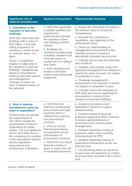#### **Significant risk of material misstatement**

#### **2. Estimation in the valuation of land and buildings**

NHS NSS holds land and buildings with a value of £53 million. A five-year rolling programme of valuations, carried out by an external valuer, is in place.

There is a significant degree of subjectivity in the valuation of land and buildings. Valuations are based on assumptions made by specialist valuers and management. Changes in these can have a material impact on the valuation.

- NHS NSS appointed a suitably qualified and experienced professional to provide the valuation of land and buildings (District Valuer).
- Buildings are reviewed annually using a desktop valuation and a full site review is carried out on a rolling 5 year basis.
- Both valuations are based on the latest indices and professional judgement.

#### **Sources of assurance Planned audit response**

- Review the information provided to the external valuer to assess for completeness.
- Evaluate the competence, capabilities, and objectivity of the professional valuer.
- Obtain an understanding of management's involvement in the valuation process to assess if appropriate oversight has occurred.
- Critically assess how the estimation was arrived at.
- Establish and critically assess the approach management has adopted to assess the value of assets not subject to revaluation in year.
- Challenge management's assessment of the valuation of assets not subject to revaluation in year.
- Critically assess the adequacy of NHS NSS disclosures regarding the assumptions in relation to the valuation of land and buildings.

#### **3. Risk of material misstatement cause by fraud in expenditure**

Practice Note 10 extends the requirements of ISA 240 to include the consideration of fraud in expenditure for public bodies. This is a significant risk for NHS NSS due to the complexity of a number of the expenditure streams and the significant procurement and contracting it undertakes.

• NHS NSS has extensive professional procurement and legal expertise which is utilised when entering into procurement contracts.

- SFIs set out the financial governance arrangements for the authorisation of procurement contracts.
- NHS NSS has robust financial controls in place to reduce the risk of fraudulent payments.
- Analytical procedures over expenditure streams to support detailed testing.
- Focused testing of personal protective equipment (PPE) contracts to assess appropriateness of governance and contract award arrangements.
- Detailed substantive testing of payments made under contracts, including those for PPE.
- Detailed substantive testing of expenditure transactions across the financial year.
- Cut-off testing where we will focus on post year end payments to confirm they have been recorded in the correct year.

Source: Audit Scotland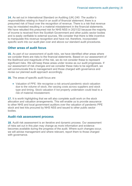**14.** As set out in International Standard on Auditing (UK) 240*: The auditor's responsibilities relating to fraud in an audit of financial statement*, there is a presumed risk of fraud over the recognition of revenue. There is a risk that revenue may be misstated resulting in a material misstatement in the financial statements. We have rebutted this presumed risk for NHS NSS in 2021/22 because the majority of income is received from the Scottish Government and other public sector bodies and is easily verifiable to external sources. We consider that there is little incentive to manipulate this revenue recognition and have not, therefore, incorporated specific work into our audit plan over and above our standard audit procedures.

#### **Other areas of audit focus**

**15.** As part of our assessment of audit risks, we have identified other areas where we consider there are risks to the financial statements. Based on our assessment of the likelihood and magnitude of the risk, we do not consider these to represent significant risks. We will keep these areas under review as our audit progresses. If our assessment of risk changes and we consider these risks to be significant, we will communicate this to management and those charged with governance and revise our planned audit approach accordingly.

**16.** The areas of specific audit focus are:

• Valuation of PPE: We recognise a risk around pandemic stock valuation due to the volume of stock, the varying costs across suppliers and stock type and timing. Stock valuation if not properly undertaken could lead to a risk of material misstatement.

**17.** It is worth highlighting that we will also complete audit work on the stock allocation and valuation arrangements. This will enable us to provide assurance to other NHS and local government auditors over the valuation of pandemic PPE stock and test kits procured by NHS NSS and issued to other public sector bodies.

#### **Audit risk assessment process**

**18.** Audit risk assessment is an iterative and dynamic process. Our assessment of risks set out in this plan may change as more information and evidence becomes available during the progress of the audit. Where such changes occur, we will advise management and where relevant, report them to those charged with governance.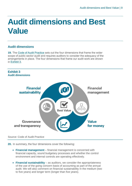### <span id="page-8-0"></span>**Audit dimensions and Best Value**

#### **Audit dimensions**

**19.** The [Code of Audit Practice](https://www.audit-scotland.gov.uk/uploads/docs/report/2016/code_audit_practice_16_0.pdf) sets out the four dimensions that frame the wider scope of public sector audit and requires auditors to consider the adequacy of the arrangements in place. The four dimensions that frame our audit work are shown in [Exhibit 3.](#page-8-1)

<span id="page-8-1"></span>

#### Source: Code of Audit Practice

**20.** In summary, the four dimensions cover the following:

- **Financial management** financial management is concerned with financial capacity, sound budgetary processes and whether the control environment and internal controls are operating effectively.
- **Financial sustainability** as auditors, we consider the appropriateness of the use of the going concern basis of accounting as part of the annual audit. We will also comment on financial sustainability in the medium (two to five years) and longer term (longer than five years).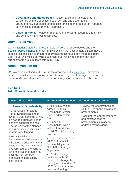- **Governance and transparency** governance and transparency is concerned with the effectiveness of scrutiny and governance arrangements, leadership, and decision-making and transparent reporting of financial and performance information.
- **Value for money** value for money refers to using resources effectively and continually improving services.

#### **Duty of Best Value**

**21.** [Ministerial Guidance to Accountable Officers](https://www.gov.scot/publications/best-value-public-services-guidance-accountable-officers/) for public bodies and the [Scottish Public Finance Manual](https://www.gov.scot/publications/scottish-public-finance-manual/background-and-applicability/background-and-applicability/) (SPFM) explain that accountable officers have a specific responsibility to ensure that arrangements have been made to secure Best Value. We will be carrying out a high-level review to confirm that such arrangements are in place within NHS NSS.

#### **Audit dimension risks**

**22.** We have identified audit risks in the areas set out in [Exhibit 4.](#page-9-0) This exhibit sets out the risks, sources of assurance from management arrangements and the further audit procedures we plan to perform to gain assurances over the risks.

#### <span id="page-9-0"></span>**Exhibit 4 2021/22 Audit dimension risks**

| <b>Description of risk</b>                                                                                                                                                                                                                                                                                                                                                                                                                                                                                                                    | <b>Sources of assurance</b>                                                                                                                                                                                                                                                                                                                                                                                                                                                   | <b>Planned audit response</b>                                                                                                                                                                 |
|-----------------------------------------------------------------------------------------------------------------------------------------------------------------------------------------------------------------------------------------------------------------------------------------------------------------------------------------------------------------------------------------------------------------------------------------------------------------------------------------------------------------------------------------------|-------------------------------------------------------------------------------------------------------------------------------------------------------------------------------------------------------------------------------------------------------------------------------------------------------------------------------------------------------------------------------------------------------------------------------------------------------------------------------|-----------------------------------------------------------------------------------------------------------------------------------------------------------------------------------------------|
| 1. Financial Sustainability<br>As identified in previous<br>years, Strategic Business<br>Units (SBUs) continue to rely<br>on non-recurring savings to<br>achieve financial balance.<br>The delivery of the planned<br>recurring savings initiatives<br>remains challenging.<br>NHS NSS will need to<br>implement recurring savings<br>initiatives to ensure financial<br>sustainability. This is further<br>exacerbated by the current<br>level of inflation that makes<br>savings from contract<br>negotiations particularly<br>challenging. | NHS NSS has an<br>agreed Financial<br><b>Sustainability Action</b><br>Plan to address this<br>risk.<br>• Financial<br>Sustainability was a<br>'golden thread' through<br>the NHS NSS' planning<br>process.<br>• From Financial Year<br>2022/23 Financial<br>Sustainability is one of<br><b>NHS NSS' Strategic</b><br>Objectives.<br>• Positive dialogue<br>continues with SG<br>Finance to change the<br>funding model and NHS<br>NSS' reliance on non-<br>recurring funding. | • Review the effectiveness of<br>NHS NSS's financial planning<br>arrangements.<br>• Consider the appropriateness<br>and effectiveness of<br>arrangements in place to<br>address savings gaps. |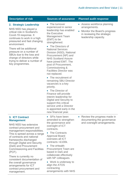| 2. Strategic Leadership<br>NHS NSS has played a<br>critical role in Scotland's<br>Covid-19 response. It<br>continues to work in a high<br>pressured and fast changing | • The turnover<br>experienced in senior<br>leadership has enabled<br>the Executive<br><b>Management Team</b><br>(EMT) to be<br>strengthened. | • Assess v<br>arrangen<br>• Monitor t<br>in review<br>leadersh |
|-----------------------------------------------------------------------------------------------------------------------------------------------------------------------|----------------------------------------------------------------------------------------------------------------------------------------------|----------------------------------------------------------------|
| environment.                                                                                                                                                          | • The Directors of                                                                                                                           |                                                                |

There will be additional pressure on a number of SBUs due to the loss and change of directors while trying to deliver a number of key programmes.

#### **Description of risk Sources of assurance Planned audit response**

National Services Division (NSD), National Procurement (NP) and NHS Scotland Assure have joined EMT. The post of Procurement, Commissioning & Facilities Director was not replaced.

• The recruitment of remaining SBU Director vacancies is a key priority.

• The Director of Finance will provide interim leadership for Digital and Security to support this critical service until a Director is appointed early in the new financial year.

- workforce planning nents.
- he Board's progress ing the strategic ip capacity.

**3. ICT Contract Management**

NHS NSS has extensive contract procurement and management responsibilities. This is spread across a range of contracts and national frameworks discharged through Digital and Security (DaS) and Procurement Commissioning and Facilities (PCF).

There is currently no consistent documentation of the overall governance arrangements for ICT contract procurement and management.

- SFIs have been amended to strengthen the governance and oversight of ICT contracts.
- The Contracts Approval Board oversees all ICT contracts >£100k.
- The eHealth Procurement Team are based in DaS and collaborate effectively with NP colleagues.

• Work is underway to align the ATOS contracting arrangements with NHS • Review the progress made in documenting the governance and oversight arrangements.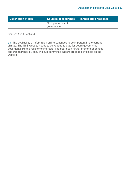| <b>Description of risk</b> |                 | Sources of assurance Planned audit response |
|----------------------------|-----------------|---------------------------------------------|
|                            | NSS procurement |                                             |
|                            | governance.     |                                             |
|                            |                 |                                             |

Source: Audit Scotland

**23.** The availability of information online continues to be important in the current climate. The NSS website needs to be kept up to date for board governance documents like the register of interests. The board can further promote openness and transparency by ensuring sub-committee papers are made available on the website.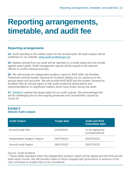### <span id="page-12-0"></span>**Reporting arrangements, timetable, and audit fee**

#### **Reporting arrangements**

**24.** Audit reporting is the visible output for the annual audit. All audit outputs will be published on our website: [www.audit-scotland.gov.uk.](http://www.audit-scotland.gov.uk./)

**25.** Matters arising from our audit will be reported on a timely basis and will include agreed action plans. Draft management reports will be issued to the relevant officers to confirm factual accuracy.

**26.** We will provide an independent auditor's report to NHS NSS, the Scottish Parliament and the Auditor General for Scotland setting out our opinions on the annual report and accounts. We will provide NHS NSS and the Auditor General for Scotland with an annual report on the audit containing observations and recommendations on significant matters which have arisen during the audit.

**27.** [Exhibit 5](#page-12-1) outlines the target dates for our audit outputs. We acknowledge this will be challenging due to the ongoing pressures and uncertainties caused by Covid-19.

#### <span id="page-12-1"></span>**Exhibit 5 2021/22 Audit outputs**

| <b>Audit Output</b>          | <b>Target date</b> | <b>Audit and Risk</b><br><b>Committee Date</b> |
|------------------------------|--------------------|------------------------------------------------|
| <b>Annual Audit Plan</b>     | 31/03/2022         | To be agreed by<br>correspondence              |
| Independent Auditor's Report | 29/07/2022*        | 25/07/20222                                    |
| <b>Annual Audit Report</b>   | 29/07/2022*        | 25/07/20222                                    |

#### Source: Audit Scotland

\* These dates represent when the independent auditor's report will be signed and the final annual audit report issued. We will provide copies to those charged with governance in advance of the July committee to enable them to be considered.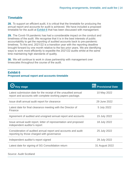#### **Timetable**

**28.** To support an efficient audit, it is critical that the timetable for producing the annual report and accounts for audit is achieved. We have included a proposed timetable for the audit at [Exhibit 6](#page-13-0) that has been discussed with management.

**29.** The Covid-19 pandemic has had a considerable impact on the conduct and timeliness of the audit. We recognise that it is in the best interests of public accountability to get the reporting of audited accounts back to pre-pandemic timelines. To this end, 2021/22 is a transition year with the reporting deadline brought forward by one month relative to the two prior years. We are identifying ways to work more efficiently to expedite the 2021/22 audits whilst at the same time maintaining high standards of quality.

**30.** We will continue to work in close partnership with management over timescales throughout the course of the audit.

#### <span id="page-13-0"></span>**Exhibit 6 Proposed annual report and accounts timetable**

| $\bigotimes$ Key stage                                                                                                      | <b>Provisional Date</b> |
|-----------------------------------------------------------------------------------------------------------------------------|-------------------------|
| Latest submission date for the receipt of the unaudited annual<br>report and accounts with complete working papers package. | 10 May 2022             |
| Issue draft annual audit report for clearance                                                                               | 29 June 2022            |
| Latest date for final clearance meeting with the Director of<br>Finance                                                     | 5 July 2022             |
| Agreement of audited and unsigned annual report and accounts                                                                | 15 July 2022            |
| Issue annual audit report, letter of representation and proposed<br>independent auditor's report                            | 18 July 2022            |
| Consideration of audited annual report and accounts and audit<br>reporting by those charged with governance                 | 25 July 2022            |
| Independent auditor's report signed                                                                                         | 29 July 2022            |
| Latest date for signing of SG Consolidation return                                                                          | 31 August 2022          |
|                                                                                                                             |                         |

Source: Audit Scotland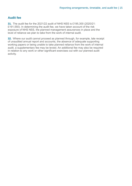#### **Audit fee**

**31.** The audit fee for the 2021/22 audit of NHS NSS is £195,300 (2020/21: £191,550). In determining the audit fee, we have taken account of the risk exposure of NHS NSS, the planned management assurances in place and the level of reliance we plan to take from the work of internal audit.

**32.** Where our audit cannot proceed as planned through, for example, late receipt of unaudited annual report and accounts, the absence of adequate supporting working papers or being unable to take planned reliance from the work of internal audit, a supplementary fee may be levied. An additional fee may also be required in relation to any work or other significant exercises out with our planned audit activity.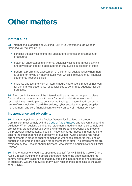### <span id="page-15-0"></span>**Other matters**

#### **Internal audit**

**33.** International standards on Auditing (UK) 610: *Considering the work of internal audit r*equires us to:

- consider the activities of internal audit and their effect on external audit procedures
- obtain an understanding of internal audit activities to inform our planning and develop an effective audit approach that avoids duplication of effort
- perform a preliminary assessment of the internal audit function when there is scope for relying on internal audit work which is relevant to our financial statements' responsibilities
- evaluate and test the work of internal audit, where use is made of that work for our financial statements responsibilities to confirm its adequacy for our purposes.

**34.** From our initial review of the internal audit plans, we do not plan to place formal reliance on internal audit's work for our financial statements audit responsibilities. We do plan to consider the findings of internal audit across a range of work including Covid-19 services, cyber security, third party supplier management, and core financial controls work on payroll – donor services.

#### **Independence and objectivity**

**35.** Auditors appointed by the Auditor General for Scotland or Accounts Commission must comply with the [Code of Audit Practice](https://www.audit-scotland.gov.uk/uploads/docs/report/2016/code_audit_practice_16_0.pdf) and relevant supporting guidance. When auditing the financial statements, auditors must also comply with professional standards issued by the Financial Reporting Council and those of the professional accountancy bodies. These standards impose stringent rules to ensure the independence and objectivity of auditors. Audit Scotland has robust arrangements in place to ensure compliance with these standards including an annual *'fit and proper*' declaration for all members of staff. The arrangements are overseen by the Director of Audit Services, who serves as Audit Scotland's Ethics **Partner** 

**36.** The engagement lead (i.e. appointed auditor) for NHS NSS is Carole Grant, Audit Director. Auditing and ethical standards require the appointed auditor to communicate any relationships that may affect the independence and objectivity of audit staff. We are not aware of any such relationships pertaining to the audit of NHS NSS.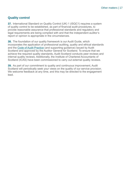#### **Quality control**

**37.** International Standard on Quality Control (UK) 1 (ISQC1) requires a system of quality control to be established, as part of financial audit procedures, to provide reasonable assurance that professional standards and regulatory and legal requirements are being complied with and that the independent auditor's report or opinion is appropriate in the circumstances.

**38.** The foundation of our quality framework is our Audit Guide, which incorporates the application of professional auditing, quality and ethical standards and the Code of Audit Practice (and supporting guidance) issued by Audit Scotland and approved by the Auditor General for Scotland. To ensure that we achieve the required quality standards, Audit Scotland conducts peer reviews and internal quality reviews. Additionally, the Institute of Chartered Accountants of Scotland (ICAS) have been commissioned to carry out external quality reviews.

**39.** As part of our commitment to quality and continuous improvement, Audit Scotland will periodically seek your views on the quality of our service provision. We welcome feedback at any time, and this may be directed to the engagement lead.